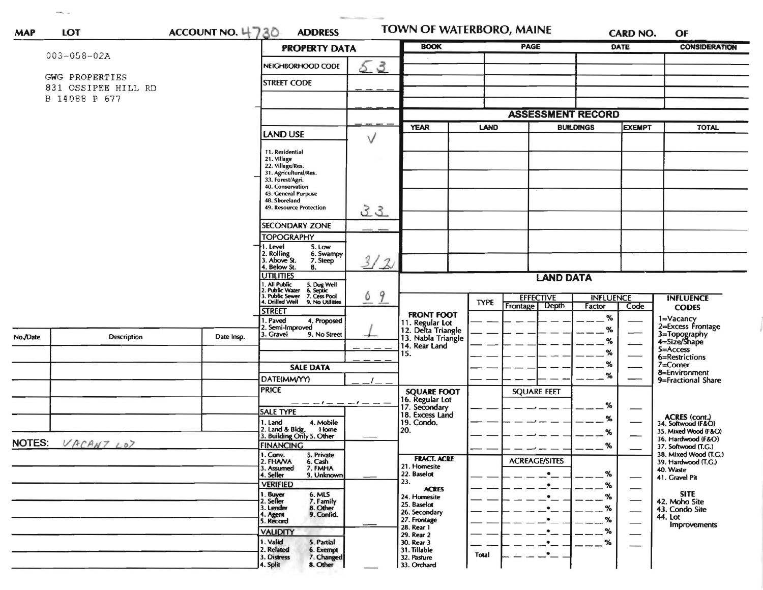| <b>MAP</b>    | <b>LOT</b>                            | ACCOUNT NO. 4730 | <b>ADDRESS</b>                                                                                                     | TOWN OF WATERBORO, MAINE |                                                             |                          |                                   |                  | <b>CARD NO.</b>               | OF                                                                 |  |
|---------------|---------------------------------------|------------------|--------------------------------------------------------------------------------------------------------------------|--------------------------|-------------------------------------------------------------|--------------------------|-----------------------------------|------------------|-------------------------------|--------------------------------------------------------------------|--|
|               |                                       |                  | <b>PROPERTY DATA</b>                                                                                               |                          | <b>BOOK</b>                                                 |                          | <b>PAGE</b>                       |                  | <b>DATE</b>                   | <b>CONSIDERATION</b>                                               |  |
|               | 003-058-02A                           |                  | NEIGHBORHOOD CODE                                                                                                  | $\mathcal{S}$<br>5       |                                                             |                          |                                   |                  |                               |                                                                    |  |
|               | GWG PROPERTIES<br>831 OSSIPEE HILL RD |                  | <b>STREET CODE</b>                                                                                                 |                          |                                                             |                          |                                   |                  |                               |                                                                    |  |
|               | B 14088 P 677                         |                  |                                                                                                                    |                          |                                                             |                          |                                   |                  |                               |                                                                    |  |
|               |                                       |                  |                                                                                                                    |                          |                                                             | <b>ASSESSMENT RECORD</b> |                                   |                  |                               |                                                                    |  |
|               |                                       |                  |                                                                                                                    |                          | <b>YEAR</b><br>LAND                                         |                          | <b>BUILDINGS</b><br><b>EXEMPT</b> |                  | <b>TOTAL</b>                  |                                                                    |  |
|               |                                       |                  | <b>LAND USE</b>                                                                                                    | $\vee$                   |                                                             |                          |                                   |                  |                               |                                                                    |  |
|               |                                       |                  | 11. Residential<br>21. Village                                                                                     |                          |                                                             |                          |                                   |                  |                               |                                                                    |  |
|               |                                       |                  | 22. Village/Res.<br>31. Agricultural/Res.                                                                          |                          |                                                             |                          |                                   |                  |                               |                                                                    |  |
|               |                                       |                  | 33. Forest/Agri.<br>40. Conservation                                                                               |                          |                                                             |                          |                                   |                  |                               |                                                                    |  |
|               |                                       |                  | 45. General Purpose                                                                                                |                          |                                                             |                          |                                   |                  |                               |                                                                    |  |
|               |                                       |                  | 48. Shoreland<br>49. Resource Protection                                                                           | 33                       |                                                             |                          |                                   |                  |                               |                                                                    |  |
|               |                                       |                  | <b>SECONDARY ZONE</b>                                                                                              |                          |                                                             |                          |                                   |                  |                               |                                                                    |  |
|               |                                       |                  | <b>TOPOGRAPHY</b><br>1. Level<br>5. Low                                                                            |                          |                                                             |                          |                                   |                  |                               |                                                                    |  |
|               |                                       |                  | 2. Rolling<br>3. Above St.<br>6. Swampy                                                                            |                          |                                                             |                          |                                   |                  |                               |                                                                    |  |
|               |                                       |                  | 7. Steep<br>4. Below St.<br>8.                                                                                     | 3/2                      |                                                             |                          |                                   |                  |                               |                                                                    |  |
|               |                                       |                  | <b>UTILITIES</b>                                                                                                   |                          | <b>LAND DATA</b>                                            |                          |                                   |                  |                               |                                                                    |  |
|               |                                       |                  | 1. All Public<br>2. Public Water<br>3. Public Sewer<br>4. Drilled Well<br>5. Dug Well<br>6. Septic<br>7. Cess Pool | 9<br>6                   |                                                             |                          | <b>EFFECTIVE</b>                  | <b>INFLUENCE</b> |                               | <b>INFLUENCE</b>                                                   |  |
|               |                                       |                  | 9. No Utilities<br><b>STREET</b>                                                                                   |                          |                                                             | <b>TYPE</b>              | Depth<br>Frontage                 | Factor           | Code                          | <b>CODES</b>                                                       |  |
|               |                                       |                  | 1. Paved<br>4. Proposed<br>2. Semi-Improved                                                                        |                          | <b>FRONT FOOT</b>                                           |                          |                                   | $\%$             |                               | 1=Vacancy<br>2=Excess Frontage                                     |  |
| No./Date      | <b>Description</b>                    | Date Insp.       | 3. Gravel<br>9. No Street                                                                                          |                          | 11. Regular Lot<br>12. Delta Triangle<br>13. Nabla Triangle |                          |                                   | $\%$             |                               | 3=Topography<br>4=Size/Shape                                       |  |
|               |                                       |                  |                                                                                                                    |                          | 14. Rear Land                                               |                          |                                   | $\%$<br>%        |                               | 5=Access                                                           |  |
|               |                                       |                  |                                                                                                                    |                          | 15.                                                         |                          |                                   | %                |                               | 6=Restrictions<br>$7 =$ Corner                                     |  |
|               |                                       |                  | <b>SALE DATA</b><br>DATE(MM/YY)                                                                                    |                          |                                                             |                          |                                   | %                |                               | 8=Environment                                                      |  |
|               |                                       |                  | <b>PRICE</b>                                                                                                       |                          | <b>SQUARE FOOT</b>                                          |                          | <b>SQUARE FEET</b>                |                  |                               | 9=Fractional Share                                                 |  |
|               |                                       |                  | $- - - - - - -$                                                                                                    |                          | 16. Regular Lot<br>17. Secondary                            |                          |                                   | %                |                               |                                                                    |  |
|               |                                       |                  | <b>SALE TYPE</b>                                                                                                   |                          | 18. Excess Land                                             |                          |                                   | %                |                               |                                                                    |  |
|               |                                       |                  | 4. Mobile<br>1. Land<br>Home                                                                                       |                          | 19. Condo.<br>20.                                           |                          |                                   |                  |                               | <b>ACRES (cont.)</b><br>34. Softwood (F&O)<br>35. Mixed Wood (F&O) |  |
| <b>NOTES:</b> | VACANT LOT                            |                  | 2. Land & Bldg. Home<br>3. Building Only 5. Other                                                                  | __                       |                                                             |                          |                                   | %                |                               | 36. Hardwood (F&O)                                                 |  |
|               |                                       |                  | <b>FINANCING</b><br>5. Private                                                                                     |                          |                                                             |                          |                                   | %                |                               | 37. Softwood (T.G.)<br>38. Mixed Wood (T.G.)                       |  |
|               |                                       |                  | 1. Conv.<br>2. FHAVA<br>6. Cash<br>7. FMHA<br>3. Assumed                                                           |                          | <b>FRACT. ACRE</b><br>21. Homesite                          |                          | <b>ACREAGE/SITES</b>              |                  |                               | 39. Hardwood (T.G.)<br>40. Waste                                   |  |
|               |                                       |                  | 4. Seller<br>9. Unknown<br><b>VERIFIED</b>                                                                         |                          | 22. Baselot<br>23.                                          |                          | $\bullet$                         | $\%$             |                               | 41. Gravel Pit                                                     |  |
|               |                                       |                  | 6. MLS                                                                                                             |                          | <b>ACRES</b><br>24. Homesite                                |                          |                                   |                  |                               | <b>SITE</b>                                                        |  |
|               |                                       |                  | 1. Buyer<br>2. Seller<br>7. Family<br>3. Lender<br>8. Other                                                        |                          | 25. Baselot                                                 |                          |                                   |                  |                               | 42. Moho Site<br>43. Condo Site                                    |  |
|               |                                       |                  | 9. Confid.<br>4. Agent<br>5. Record                                                                                |                          | 26. Secondary<br>27. Frontage                               |                          |                                   |                  |                               | 44. Lot                                                            |  |
|               |                                       |                  | <b>VALIDITY</b>                                                                                                    |                          | 28. Rear 1                                                  |                          |                                   |                  | $\overbrace{\phantom{aaaaa}}$ | <b>Improvements</b>                                                |  |
|               |                                       |                  | 1. Valid<br>5. Partial                                                                                             |                          | 29. Rear 2<br>30. Rear 3                                    |                          |                                   | %                |                               |                                                                    |  |
|               |                                       |                  | 2. Related<br>6. Exempt<br>7. Changed<br>3. Distress                                                               |                          | 31. Tillable<br>32. Pasture                                 | <b>Total</b>             | $\bullet$                         |                  |                               |                                                                    |  |
|               |                                       |                  | 8. Other<br>4. Split                                                                                               |                          | 33. Orchard                                                 |                          |                                   |                  |                               |                                                                    |  |

and Control

 $\overline{m}$